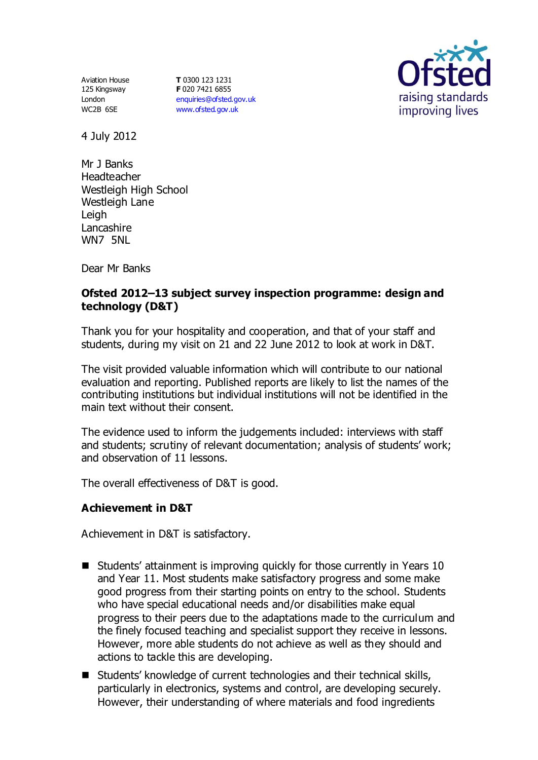Aviation House 125 Kingsway London WC2B 6SE

**T** 0300 123 1231 **F** 020 7421 6855 [enquiries@ofsted.gov.uk](mailto:enquiries@ofsted.gov.uk) [www.ofsted.gov.uk](http://www.ofsted.gov.uk/)



4 July 2012

Mr J Banks Headteacher Westleigh High School Westleigh Lane **Leigh** Lancashire WN7 5NL

Dear Mr Banks

# **Ofsted 2012–13 subject survey inspection programme: design and technology (D&T)**

Thank you for your hospitality and cooperation, and that of your staff and students, during my visit on 21 and 22 June 2012 to look at work in D&T.

The visit provided valuable information which will contribute to our national evaluation and reporting. Published reports are likely to list the names of the contributing institutions but individual institutions will not be identified in the main text without their consent.

The evidence used to inform the judgements included: interviews with staff and students; scrutiny of relevant documentation; analysis of students' work; and observation of 11 lessons.

The overall effectiveness of D&T is good.

## **Achievement in D&T**

Achievement in D&T is satisfactory.

- Students' attainment is improving quickly for those currently in Years 10 and Year 11. Most students make satisfactory progress and some make good progress from their starting points on entry to the school. Students who have special educational needs and/or disabilities make equal progress to their peers due to the adaptations made to the curriculum and the finely focused teaching and specialist support they receive in lessons. However, more able students do not achieve as well as they should and actions to tackle this are developing.
- Students' knowledge of current technologies and their technical skills, particularly in electronics, systems and control, are developing securely. However, their understanding of where materials and food ingredients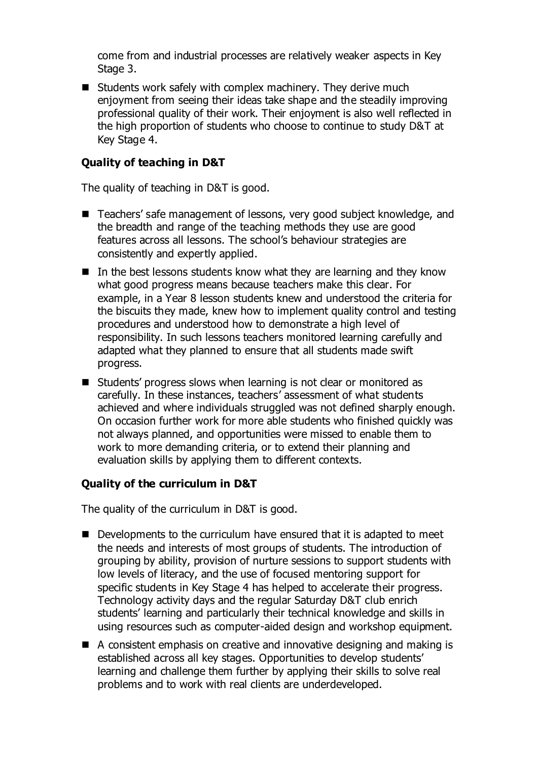come from and industrial processes are relatively weaker aspects in Key Stage 3.

 $\blacksquare$  Students work safely with complex machinery. They derive much enjoyment from seeing their ideas take shape and the steadily improving professional quality of their work. Their enjoyment is also well reflected in the high proportion of students who choose to continue to study D&T at Key Stage 4.

# **Quality of teaching in D&T**

The quality of teaching in D&T is good.

- Teachers' safe management of lessons, very good subject knowledge, and the breadth and range of the teaching methods they use are good features across all lessons. The school's behaviour strategies are consistently and expertly applied.
- $\blacksquare$  In the best lessons students know what they are learning and they know what good progress means because teachers make this clear. For example, in a Year 8 lesson students knew and understood the criteria for the biscuits they made, knew how to implement quality control and testing procedures and understood how to demonstrate a high level of responsibility. In such lessons teachers monitored learning carefully and adapted what they planned to ensure that all students made swift progress.
- Students' progress slows when learning is not clear or monitored as carefully. In these instances, teachers' assessment of what students achieved and where individuals struggled was not defined sharply enough. On occasion further work for more able students who finished quickly was not always planned, and opportunities were missed to enable them to work to more demanding criteria, or to extend their planning and evaluation skills by applying them to different contexts.

## **Quality of the curriculum in D&T**

The quality of the curriculum in D&T is good.

- $\blacksquare$  Developments to the curriculum have ensured that it is adapted to meet the needs and interests of most groups of students. The introduction of grouping by ability, provision of nurture sessions to support students with low levels of literacy, and the use of focused mentoring support for specific students in Key Stage 4 has helped to accelerate their progress. Technology activity days and the regular Saturday D&T club enrich students' learning and particularly their technical knowledge and skills in using resources such as computer-aided design and workshop equipment.
- A consistent emphasis on creative and innovative designing and making is established across all key stages. Opportunities to develop students' learning and challenge them further by applying their skills to solve real problems and to work with real clients are underdeveloped.